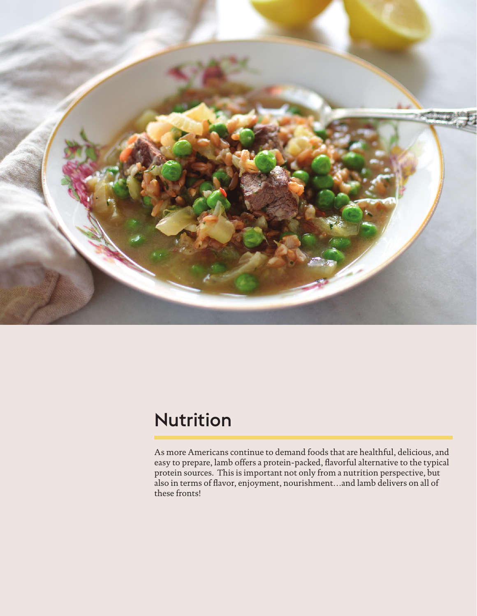

## Nutrition

As more Americans continue to demand foods that are healthful, delicious, and easy to prepare, lamb offers a protein-packed, flavorful alternative to the typical protein sources. This is important not only from a nutrition perspective, but also in terms of flavor, enjoyment, nourishment…and lamb delivers on all of these fronts!